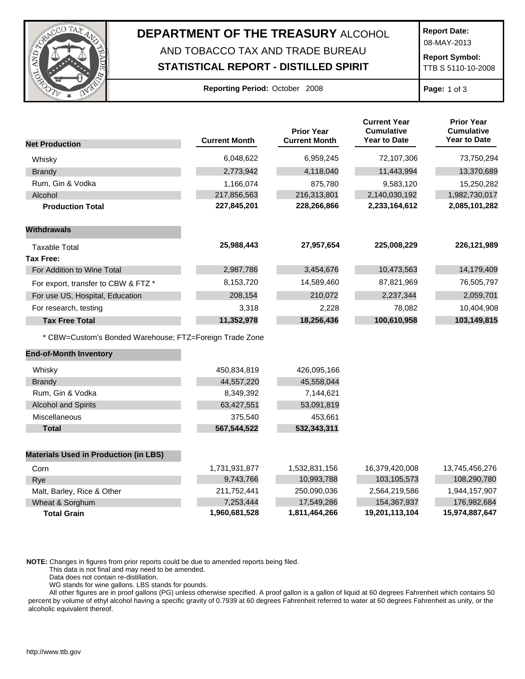

## **DEPARTMENT OF THE TREASURY** ALCOHOL AND TOBACCO TAX AND TRADE BUREAU

## **STATISTICAL REPORT - DISTILLED SPIRIT**

**Report Date:**

08-MAY-2013

**Report Symbol:** TTB S 5110-10-2008

| Reporting Period: October 2008 |  |  |
|--------------------------------|--|--|
|--------------------------------|--|--|

**Page:** 1 of 3

|                                                         |                      | <b>Prior Year</b>    | <b>Current Year</b><br><b>Cumulative</b> | <b>Prior Year</b><br><b>Cumulative</b> |
|---------------------------------------------------------|----------------------|----------------------|------------------------------------------|----------------------------------------|
| <b>Net Production</b>                                   | <b>Current Month</b> | <b>Current Month</b> | <b>Year to Date</b>                      | <b>Year to Date</b>                    |
| Whisky                                                  | 6,048,622            | 6,959,245            | 72,107,306                               | 73,750,294                             |
| <b>Brandy</b>                                           | 2,773,942            | 4,118,040            | 11,443,994                               | 13,370,689                             |
| Rum, Gin & Vodka                                        | 1,166,074            | 875,780              | 9,583,120                                | 15,250,282                             |
| Alcohol                                                 | 217,856,563          | 216,313,801          | 2,140,030,192                            | 1,982,730,017                          |
| <b>Production Total</b>                                 | 227,845,201          | 228,266,866          | 2,233,164,612                            | 2,085,101,282                          |
| <b>Withdrawals</b>                                      |                      |                      |                                          |                                        |
| <b>Taxable Total</b>                                    | 25,988,443           | 27,957,654           | 225,008,229                              | 226,121,989                            |
| Tax Free:                                               |                      |                      |                                          |                                        |
| For Addition to Wine Total                              | 2,987,786            | 3,454,676            | 10,473,563                               | 14,179,409                             |
| For export, transfer to CBW & FTZ *                     | 8,153,720            | 14,589,460           | 87,821,969                               | 76,505,797                             |
| For use US, Hospital, Education                         | 208,154              | 210,072              | 2,237,344                                | 2,059,701                              |
| For research, testing                                   | 3,318                | 2,228                | 78,082                                   | 10,404,908                             |
| <b>Tax Free Total</b>                                   | 11,352,978           | 18,256,436           | 100,610,958                              | 103,149,815                            |
| * CBW=Custom's Bonded Warehouse; FTZ=Foreign Trade Zone |                      |                      |                                          |                                        |
| <b>End-of-Month Inventory</b>                           |                      |                      |                                          |                                        |
| Whisky                                                  | 450,834,819          | 426,095,166          |                                          |                                        |
| <b>Brandy</b>                                           | 44,557,220           | 45,558,044           |                                          |                                        |
| Rum, Gin & Vodka                                        | 8,349,392            | 7,144,621            |                                          |                                        |
| <b>Alcohol and Spirits</b>                              | 63,427,551           | 53,091,819           |                                          |                                        |
| Miscellaneous                                           | 375,540              | 453,661              |                                          |                                        |
| <b>Total</b>                                            | 567,544,522          | 532,343,311          |                                          |                                        |
| <b>Materials Used in Production (in LBS)</b>            |                      |                      |                                          |                                        |
| Corn                                                    | 1,731,931,877        | 1,532,831,156        | 16,379,420,008                           | 13,745,456,276                         |
| Rye                                                     | 9,743,766            | 10,993,788           | 103,105,573                              | 108,290,780                            |
| Malt, Barley, Rice & Other                              | 211,752,441          | 250,090,036          | 2,564,219,586                            | 1,944,157,907                          |
| Wheat & Sorghum                                         | 7,253,444            | 17,549,286           | 154,367,937                              | 176,982,684                            |
| <b>Total Grain</b>                                      | 1,960,681,528        | 1,811,464,266        | 19,201,113,104                           | 15,974,887,647                         |

**NOTE:** Changes in figures from prior reports could be due to amended reports being filed.

This data is not final and may need to be amended.

Data does not contain re-distillation.

WG stands for wine gallons. LBS stands for pounds.

All other figures are in proof gallons (PG) unless otherwise specified. A proof gallon is a gallon of liquid at 60 degrees Fahrenheit which contains 50 percent by volume of ethyl alcohol having a specific gravity of 0.7939 at 60 degrees Fahrenheit referred to water at 60 degrees Fahrenheit as unity, or the alcoholic equivalent thereof.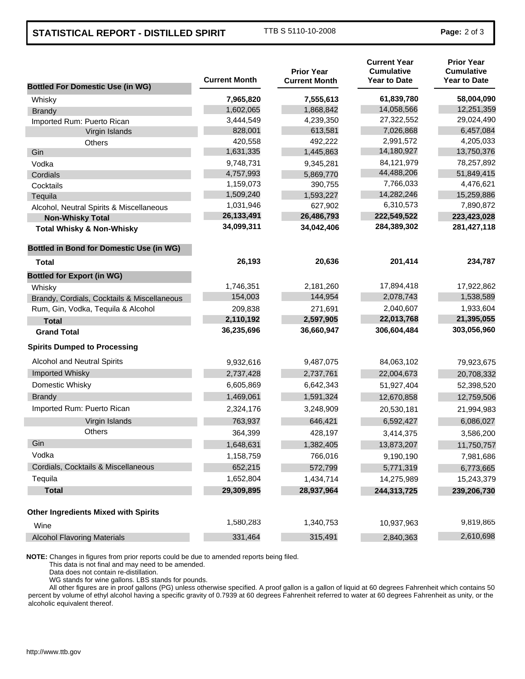## **STATISTICAL REPORT - DISTILLED SPIRIT** TTB S 5110-10-2008 **Page: 2 of 3**

| <b>Bottled For Domestic Use (in WG)</b>         | <b>Current Month</b> | <b>Prior Year</b><br><b>Current Month</b> | <b>Current Year</b><br><b>Cumulative</b><br><b>Year to Date</b> | <b>Prior Year</b><br><b>Cumulative</b><br><b>Year to Date</b> |
|-------------------------------------------------|----------------------|-------------------------------------------|-----------------------------------------------------------------|---------------------------------------------------------------|
| Whisky                                          | 7,965,820            | 7,555,613                                 | 61,839,780                                                      | 58,004,090                                                    |
| <b>Brandy</b>                                   | 1,602,065            | 1,868,842                                 | 14,058,566                                                      | 12,251,359                                                    |
| Imported Rum: Puerto Rican                      | 3,444,549            | 4,239,350                                 | 27,322,552                                                      | 29,024,490                                                    |
| Virgin Islands                                  | 828,001              | 613,581                                   | 7,026,868                                                       | 6,457,084                                                     |
| Others                                          | 420,558              | 492,222                                   | 2,991,572                                                       | 4,205,033                                                     |
| Gin                                             | 1,631,335            | 1,445,863                                 | 14,180,927                                                      | 13,750,376                                                    |
| Vodka                                           | 9,748,731            | 9,345,281                                 | 84,121,979                                                      | 78,257,892                                                    |
| Cordials                                        | 4,757,993            | 5,869,770                                 | 44,488,206                                                      | 51,849,415                                                    |
| Cocktails                                       | 1,159,073            | 390,755                                   | 7,766,033                                                       | 4,476,621                                                     |
| Tequila                                         | 1,509,240            | 1,593,227                                 | 14,282,246                                                      | 15,259,886                                                    |
| Alcohol, Neutral Spirits & Miscellaneous        | 1,031,946            | 627,902                                   | 6,310,573                                                       | 7,890,872                                                     |
| <b>Non-Whisky Total</b>                         | 26, 133, 491         | 26,486,793                                | 222,549,522                                                     | 223,423,028                                                   |
| <b>Total Whisky &amp; Non-Whisky</b>            | 34,099,311           | 34,042,406                                | 284,389,302                                                     | 281,427,118                                                   |
| <b>Bottled in Bond for Domestic Use (in WG)</b> |                      |                                           |                                                                 |                                                               |
| Total                                           | 26,193               | 20,636                                    | 201,414                                                         | 234,787                                                       |
| <b>Bottled for Export (in WG)</b>               |                      |                                           |                                                                 |                                                               |
| Whisky                                          | 1,746,351            | 2,181,260                                 | 17,894,418                                                      | 17,922,862                                                    |
| Brandy, Cordials, Cocktails & Miscellaneous     | 154,003              | 144,954                                   | 2,078,743                                                       | 1,538,589                                                     |
| Rum, Gin, Vodka, Tequila & Alcohol              | 209,838              | 271,691                                   | 2,040,607                                                       | 1,933,604                                                     |
| <b>Total</b>                                    | 2,110,192            | 2,597,905                                 | 22,013,768                                                      | 21,395,055                                                    |
| <b>Grand Total</b>                              | 36,235,696           | 36,660,947                                | 306,604,484                                                     | 303,056,960                                                   |
| <b>Spirits Dumped to Processing</b>             |                      |                                           |                                                                 |                                                               |
| Alcohol and Neutral Spirits                     | 9,932,616            | 9,487,075                                 | 84,063,102                                                      | 79,923,675                                                    |
| Imported Whisky                                 | 2,737,428            | 2,737,761                                 | 22,004,673                                                      | 20,708,332                                                    |
| Domestic Whisky                                 | 6,605,869            | 6,642,343                                 | 51,927,404                                                      | 52,398,520                                                    |
| <b>Brandy</b>                                   | 1,469,061            | 1,591,324                                 | 12,670,858                                                      | 12,759,506                                                    |
| Imported Rum: Puerto Rican                      | 2,324,176            | 3,248,909                                 | 20,530,181                                                      | 21,994,983                                                    |
| Virgin Islands                                  | 763,937              | 646,421                                   | 6,592,427                                                       | 6,086,027                                                     |
| <b>Others</b>                                   | 364,399              | 428,197                                   | 3,414,375                                                       | 3,586,200                                                     |
| Gin                                             | 1,648,631            | 1,382,405                                 | 13,873,207                                                      | 11,750,757                                                    |
| Vodka                                           | 1,158,759            | 766,016                                   | 9,190,190                                                       | 7,981,686                                                     |
| Cordials, Cocktails & Miscellaneous             | 652,215              | 572,799                                   | 5,771,319                                                       | 6,773,665                                                     |
| Tequila                                         | 1,652,804            | 1,434,714                                 | 14,275,989                                                      | 15,243,379                                                    |
| <b>Total</b>                                    | 29,309,895           | 28,937,964                                | 244,313,725                                                     | 239,206,730                                                   |
| <b>Other Ingredients Mixed with Spirits</b>     |                      |                                           |                                                                 |                                                               |
| Wine                                            | 1,580,283            | 1,340,753                                 | 10,937,963                                                      | 9,819,865                                                     |
| <b>Alcohol Flavoring Materials</b>              | 331,464              | 315,491                                   | 2,840,363                                                       | 2,610,698                                                     |

**NOTE:** Changes in figures from prior reports could be due to amended reports being filed.

This data is not final and may need to be amended.

Data does not contain re-distillation.

WG stands for wine gallons. LBS stands for pounds.

All other figures are in proof gallons (PG) unless otherwise specified. A proof gallon is a gallon of liquid at 60 degrees Fahrenheit which contains 50 percent by volume of ethyl alcohol having a specific gravity of 0.7939 at 60 degrees Fahrenheit referred to water at 60 degrees Fahrenheit as unity, or the alcoholic equivalent thereof.